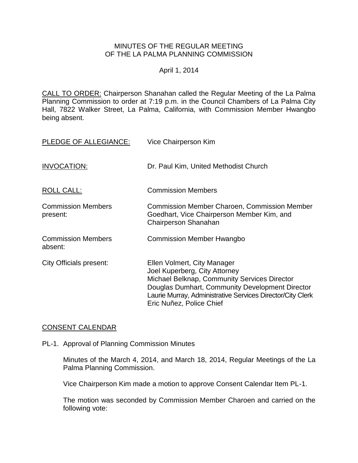#### MINUTES OF THE REGULAR MEETING OF THE LA PALMA PLANNING COMMISSION

#### April 1, 2014

CALL TO ORDER: Chairperson [Shanahan called the Regular Meeting of the La Palma](http://lapalma.granicus.com/MediaPlayerFrameHandler.php?view_id=&clip_id=817&meta_id=107699)  Planning Commission to order at 7:19 [p.m. in the Council Chambers of La Palma City](http://lapalma.granicus.com/MediaPlayerFrameHandler.php?view_id=&clip_id=817&meta_id=107699)  [Hall, 7822 Walker Street, La Palma, California, with Commission](http://lapalma.granicus.com/MediaPlayerFrameHandler.php?view_id=&clip_id=817&meta_id=107699) Member Hwangbo [being absent.](http://lapalma.granicus.com/MediaPlayerFrameHandler.php?view_id=&clip_id=817&meta_id=107699)

| PLEDGE OF ALLEGIANCE:                 | Vice Chairperson Kim                                                                                                                                                                                                                                      |
|---------------------------------------|-----------------------------------------------------------------------------------------------------------------------------------------------------------------------------------------------------------------------------------------------------------|
| INVOCATION:                           | Dr. Paul Kim, United Methodist Church                                                                                                                                                                                                                     |
| ROLL CALL:                            | <b>Commission Members</b>                                                                                                                                                                                                                                 |
| <b>Commission Members</b><br>present: | <b>Commission Member Charoen, Commission Member</b><br>Goedhart, Vice Chairperson Member Kim, and<br><b>Chairperson Shanahan</b>                                                                                                                          |
| <b>Commission Members</b><br>absent:  | <b>Commission Member Hwangbo</b>                                                                                                                                                                                                                          |
| City Officials present:               | Ellen Volmert, City Manager<br>Joel Kuperberg, City Attorney<br>Michael Belknap, Community Services Director<br>Douglas Dumhart, Community Development Director<br>Laurie Murray, Administrative Services Director/City Clerk<br>Eric Nuñez, Police Chief |

#### CONSENT CALENDAR

### PL-1. Approval of Planning Commission Minutes

Minutes of the March 4, 2014, and March 18, 2014, Regular Meetings of the La Palma Planning Commission.

Vice Chairperson Kim made a motion to approve Consent Calendar Item PL-1.

The motion was seconded by Commission Member Charoen and carried on the following vote: